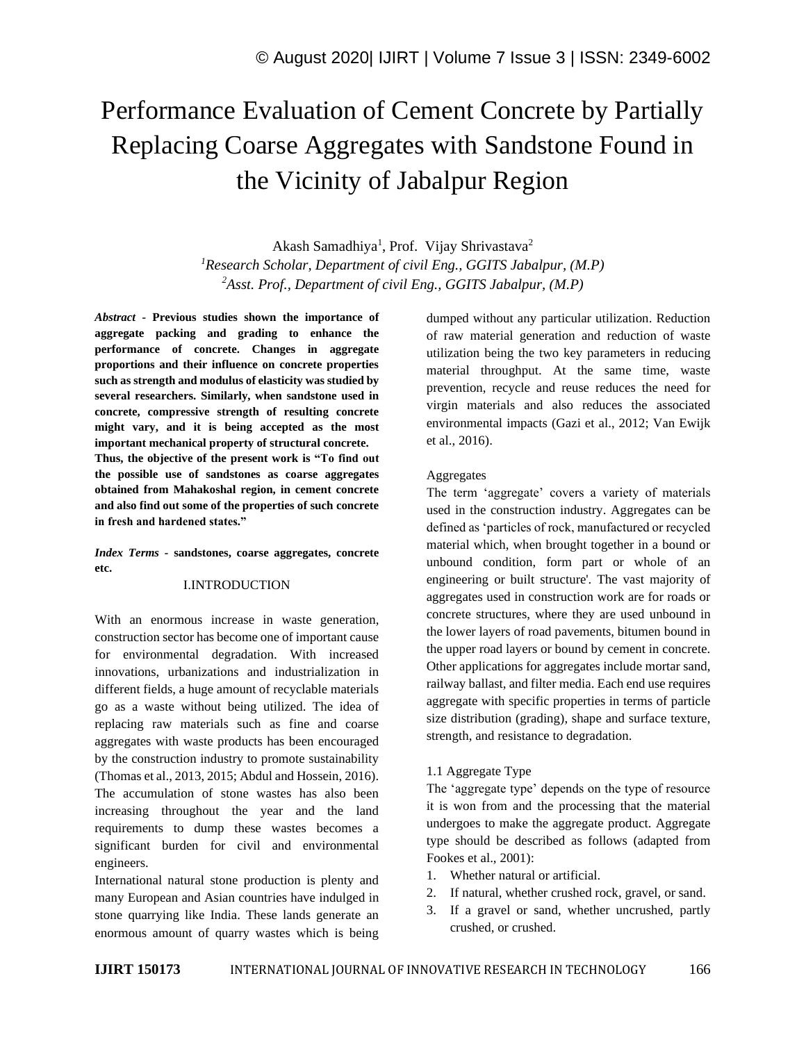# Performance Evaluation of Cement Concrete by Partially Replacing Coarse Aggregates with Sandstone Found in the Vicinity of Jabalpur Region

Akash Samadhiya<sup>1</sup>, Prof. Vijay Shrivastava<sup>2</sup> *<sup>1</sup>Research Scholar, Department of civil Eng., GGITS Jabalpur, (M.P) <sup>2</sup>Asst. Prof., Department of civil Eng., GGITS Jabalpur, (M.P)*

*Abstract -* **Previous studies shown the importance of aggregate packing and grading to enhance the performance of concrete. Changes in aggregate proportions and their influence on concrete properties such as strength and modulus of elasticity was studied by several researchers. Similarly, when sandstone used in concrete, compressive strength of resulting concrete might vary, and it is being accepted as the most important mechanical property of structural concrete. Thus, the objective of the present work is "To find out the possible use of sandstones as coarse aggregates obtained from Mahakoshal region, in cement concrete and also find out some of the properties of such concrete in fresh and hardened states."**

*Index Terms -* **sandstones, coarse aggregates, concrete etc.**

### I.INTRODUCTION

With an enormous increase in waste generation, construction sector has become one of important cause for environmental degradation. With increased innovations, urbanizations and industrialization in different fields, a huge amount of recyclable materials go as a waste without being utilized. The idea of replacing raw materials such as fine and coarse aggregates with waste products has been encouraged by the construction industry to promote sustainability (Thomas et al., 2013, 2015; Abdul and Hossein, 2016). The accumulation of stone wastes has also been increasing throughout the year and the land requirements to dump these wastes becomes a significant burden for civil and environmental engineers.

International natural stone production is plenty and many European and Asian countries have indulged in stone quarrying like India. These lands generate an enormous amount of quarry wastes which is being

dumped without any particular utilization. Reduction of raw material generation and reduction of waste utilization being the two key parameters in reducing material throughput. At the same time, waste prevention, recycle and reuse reduces the need for virgin materials and also reduces the associated environmental impacts (Gazi et al., 2012; Van Ewijk et al., 2016).

### **Aggregates**

The term 'aggregate' covers a variety of materials used in the construction industry. Aggregates can be defined as 'particles of rock, manufactured or recycled material which, when brought together in a bound or unbound condition, form part or whole of an engineering or built structure'. The vast majority of aggregates used in construction work are for roads or concrete structures, where they are used unbound in the lower layers of road pavements, bitumen bound in the upper road layers or bound by cement in concrete. Other applications for aggregates include mortar sand, railway ballast, and filter media. Each end use requires aggregate with specific properties in terms of particle size distribution (grading), shape and surface texture, strength, and resistance to degradation.

#### 1.1 Aggregate Type

The 'aggregate type' depends on the type of resource it is won from and the processing that the material undergoes to make the aggregate product. Aggregate type should be described as follows (adapted from Fookes et al., 2001):

- 1. Whether natural or artificial.
- 2. If natural, whether crushed rock, gravel, or sand.
- 3. If a gravel or sand, whether uncrushed, partly crushed, or crushed.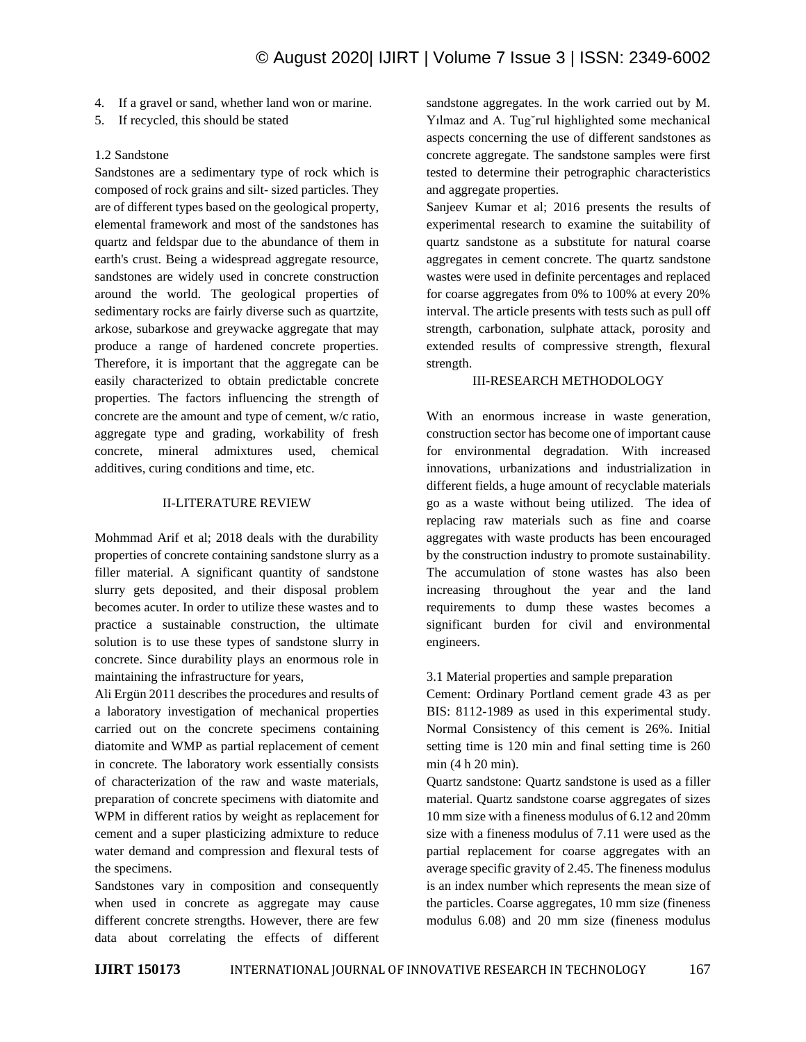- 4. If a gravel or sand, whether land won or marine.
- 5. If recycled, this should be stated

## 1.2 Sandstone

Sandstones are a sedimentary type of rock which is composed of rock grains and silt- sized particles. They are of different types based on the geological property, elemental framework and most of the sandstones has quartz and feldspar due to the abundance of them in earth's crust. Being a widespread aggregate resource, sandstones are widely used in concrete construction around the world. The geological properties of sedimentary rocks are fairly diverse such as quartzite, arkose, subarkose and greywacke aggregate that may produce a range of hardened concrete properties. Therefore, it is important that the aggregate can be easily characterized to obtain predictable concrete properties. The factors influencing the strength of concrete are the amount and type of cement, w/c ratio, aggregate type and grading, workability of fresh concrete, mineral admixtures used, chemical additives, curing conditions and time, etc.

## II-LITERATURE REVIEW

Mohmmad Arif et al; 2018 deals with the durability properties of concrete containing sandstone slurry as a filler material. A significant quantity of sandstone slurry gets deposited, and their disposal problem becomes acuter. In order to utilize these wastes and to practice a sustainable construction, the ultimate solution is to use these types of sandstone slurry in concrete. Since durability plays an enormous role in maintaining the infrastructure for years,

Ali Ergün 2011 describes the procedures and results of a laboratory investigation of mechanical properties carried out on the concrete specimens containing diatomite and WMP as partial replacement of cement in concrete. The laboratory work essentially consists of characterization of the raw and waste materials, preparation of concrete specimens with diatomite and WPM in different ratios by weight as replacement for cement and a super plasticizing admixture to reduce water demand and compression and flexural tests of the specimens.

Sandstones vary in composition and consequently when used in concrete as aggregate may cause different concrete strengths. However, there are few data about correlating the effects of different sandstone aggregates. In the work carried out by M. Yılmaz and A. Tug˘rul highlighted some mechanical aspects concerning the use of different sandstones as concrete aggregate. The sandstone samples were first tested to determine their petrographic characteristics and aggregate properties.

Sanjeev Kumar et al; 2016 presents the results of experimental research to examine the suitability of quartz sandstone as a substitute for natural coarse aggregates in cement concrete. The quartz sandstone wastes were used in definite percentages and replaced for coarse aggregates from 0% to 100% at every 20% interval. The article presents with tests such as pull off strength, carbonation, sulphate attack, porosity and extended results of compressive strength, flexural strength.

## III-RESEARCH METHODOLOGY

With an enormous increase in waste generation, construction sector has become one of important cause for environmental degradation. With increased innovations, urbanizations and industrialization in different fields, a huge amount of recyclable materials go as a waste without being utilized. The idea of replacing raw materials such as fine and coarse aggregates with waste products has been encouraged by the construction industry to promote sustainability. The accumulation of stone wastes has also been increasing throughout the year and the land requirements to dump these wastes becomes a significant burden for civil and environmental engineers.

# 3.1 Material properties and sample preparation

Cement: Ordinary Portland cement grade 43 as per BIS: 8112-1989 as used in this experimental study. Normal Consistency of this cement is 26%. Initial setting time is 120 min and final setting time is 260 min (4 h 20 min).

Quartz sandstone: Quartz sandstone is used as a filler material. Quartz sandstone coarse aggregates of sizes 10 mm size with a fineness modulus of 6.12 and 20mm size with a fineness modulus of 7.11 were used as the partial replacement for coarse aggregates with an average specific gravity of 2.45. The fineness modulus is an index number which represents the mean size of the particles. Coarse aggregates, 10 mm size (fineness modulus 6.08) and 20 mm size (fineness modulus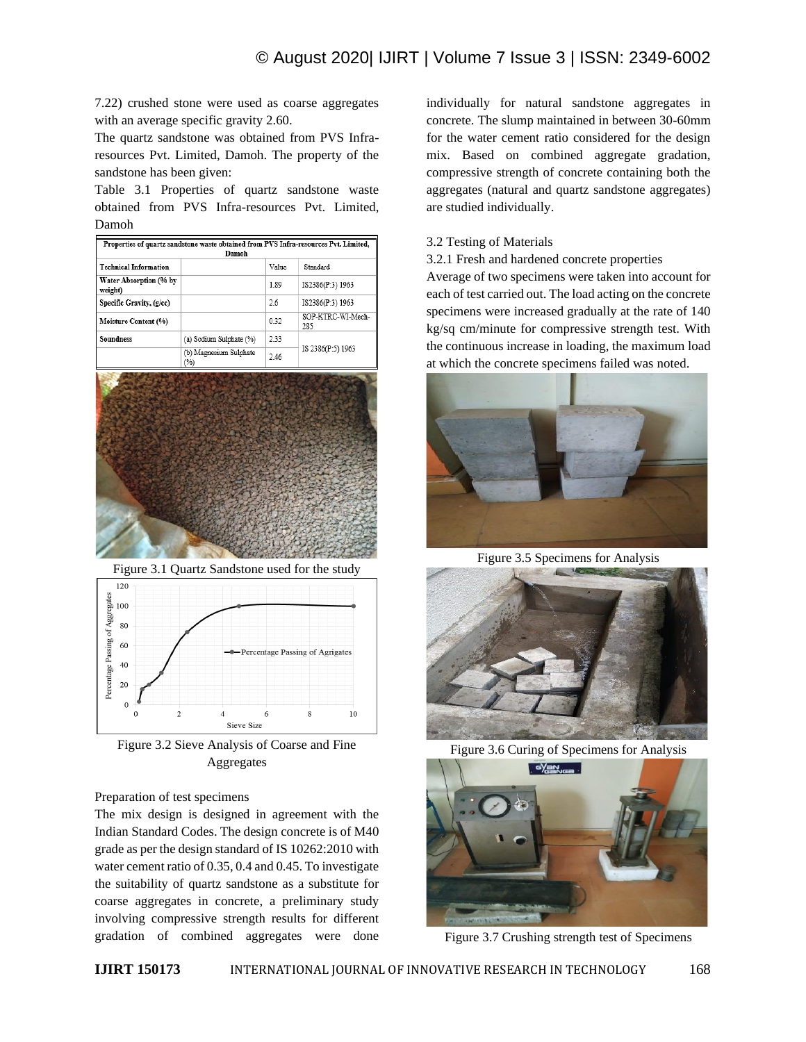7.22) crushed stone were used as coarse aggregates with an average specific gravity 2.60.

The quartz sandstone was obtained from PVS Infraresources Pvt. Limited, Damoh. The property of the sandstone has been given:

Table 3.1 Properties of quartz sandstone waste obtained from PVS Infra-resources Pvt. Limited, Damoh

| Properties of quartz sandstone waste obtained from PVS Infra-resources Pvt. Limited,<br>Damoh |                               |       |                          |  |  |  |  |  |
|-----------------------------------------------------------------------------------------------|-------------------------------|-------|--------------------------|--|--|--|--|--|
| <b>Technical Information</b>                                                                  |                               | Value | Standard                 |  |  |  |  |  |
| Water Absorption (% by<br>weight)                                                             |                               | 1.89  | IS2386(P:3) 1963         |  |  |  |  |  |
| Specific Gravity, (g/cc)                                                                      |                               | 2.6   | IS2386(P:3) 1963         |  |  |  |  |  |
| <b>Moisture Content (%)</b>                                                                   |                               | 0.32  | SOP-KTRC-WI-Mech-<br>285 |  |  |  |  |  |
| <b>Soundness</b>                                                                              | (a) Sodium Sulphate (%)       | 2.33  |                          |  |  |  |  |  |
|                                                                                               | (b) Magnesium Sulphate<br>(%) | 2.46  | IS 2386(P:5) 1963        |  |  |  |  |  |



Figure 3.1 Quartz Sandstone used for the study



Figure 3.2 Sieve Analysis of Coarse and Fine Aggregates

# Preparation of test specimens

The mix design is designed in agreement with the Indian Standard Codes. The design concrete is of M40 grade as per the design standard of IS 10262:2010 with water cement ratio of 0.35, 0.4 and 0.45. To investigate the suitability of quartz sandstone as a substitute for coarse aggregates in concrete, a preliminary study involving compressive strength results for different gradation of combined aggregates were done individually for natural sandstone aggregates in concrete. The slump maintained in between 30-60mm for the water cement ratio considered for the design mix. Based on combined aggregate gradation, compressive strength of concrete containing both the aggregates (natural and quartz sandstone aggregates) are studied individually.

# 3.2 Testing of Materials

3.2.1 Fresh and hardened concrete properties

Average of two specimens were taken into account for each of test carried out. The load acting on the concrete specimens were increased gradually at the rate of 140 kg/sq cm/minute for compressive strength test. With the continuous increase in loading, the maximum load at which the concrete specimens failed was noted.



Figure 3.5 Specimens for Analysis



Figure 3.6 Curing of Specimens for Analysis



Figure 3.7 Crushing strength test of Specimens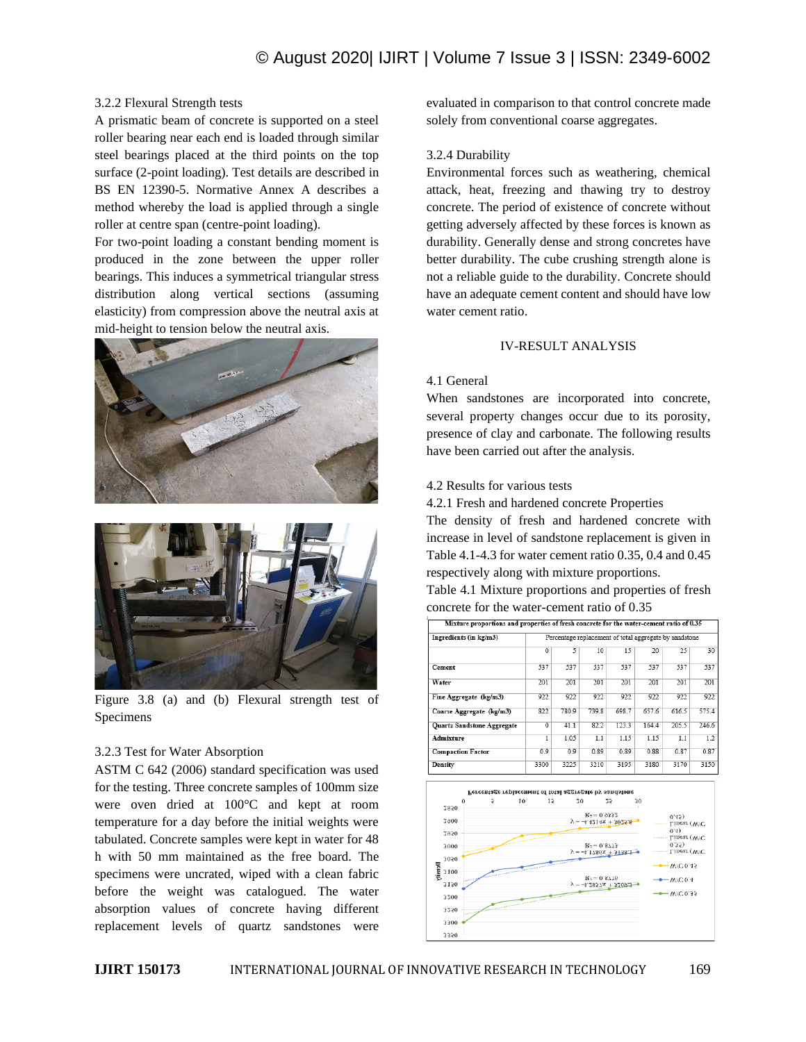## 3.2.2 Flexural Strength tests

A prismatic beam of concrete is supported on a steel roller bearing near each end is loaded through similar steel bearings placed at the third points on the top surface (2-point loading). Test details are described in BS EN 12390-5. Normative Annex A describes a method whereby the load is applied through a single roller at centre span (centre-point loading).

For two-point loading a constant bending moment is produced in the zone between the upper roller bearings. This induces a symmetrical triangular stress distribution along vertical sections (assuming elasticity) from compression above the neutral axis at mid-height to tension below the neutral axis.





Figure 3.8 (a) and (b) Flexural strength test of Specimens

## 3.2.3 Test for Water Absorption

ASTM C 642 (2006) standard specification was used for the testing. Three concrete samples of 100mm size were oven dried at 100°C and kept at room temperature for a day before the initial weights were tabulated. Concrete samples were kept in water for 48 h with 50 mm maintained as the free board. The specimens were uncrated, wiped with a clean fabric before the weight was catalogued. The water absorption values of concrete having different replacement levels of quartz sandstones were evaluated in comparison to that control concrete made solely from conventional coarse aggregates.

# 3.2.4 Durability

Environmental forces such as weathering, chemical attack, heat, freezing and thawing try to destroy concrete. The period of existence of concrete without getting adversely affected by these forces is known as durability. Generally dense and strong concretes have better durability. The cube crushing strength alone is not a reliable guide to the durability. Concrete should have an adequate cement content and should have low water cement ratio.

#### IV-RESULT ANALYSIS

#### 4.1 General

When sandstones are incorporated into concrete, several property changes occur due to its porosity, presence of clay and carbonate. The following results have been carried out after the analysis.

## 4.2 Results for various tests

4.2.1 Fresh and hardened concrete Properties

The density of fresh and hardened concrete with increase in level of sandstone replacement is given in Table 4.1-4.3 for water cement ratio 0.35, 0.4 and 0.45 respectively along with mixture proportions.

Table 4.1 Mixture proportions and properties of fresh concrete for the water-cement ratio of 0.35

| xilxture proportions and properties of fresh concrete for the water-cement ratio of 0.35 |                                                        |       |       |       |       |       |       |  |
|------------------------------------------------------------------------------------------|--------------------------------------------------------|-------|-------|-------|-------|-------|-------|--|
| Ingredients (in kg/m3)                                                                   | Percentage replacement of total aggregate by sandstone |       |       |       |       |       |       |  |
|                                                                                          | $\overline{0}$                                         | 5     | 10    | 15    | 20    | 25    | 30    |  |
| Cement                                                                                   | 537                                                    | 537   | 537   | 537   | 537   | 537   | 537   |  |
| Water                                                                                    | 201                                                    | 201   | 201   | 201   | 201   | 201   | 201   |  |
| Fine Aggregate (kg/m3)                                                                   | 922                                                    | 922   | 922   | 922   | 922   | 922   | 922   |  |
| Coarse Aggregate (kg/m3)                                                                 | 822                                                    | 780.9 | 739.8 | 698.7 | 657.6 | 616.5 | 575.4 |  |
| <b>Quartz Sandstone Aggregate</b>                                                        | $\overline{0}$                                         | 41.1  | 82.2  | 123.3 | 164.4 | 205.5 | 246.6 |  |
| <b>Admixture</b>                                                                         | 1                                                      | 1.05  | 1.1   | 1.15  | 1.15  | 1.1   | 1.2   |  |
| <b>Compaction Factor</b>                                                                 | 0.9                                                    | 0.9   | 0.89  | 0.89  | 0.88  | 0.87  | 0.87  |  |
| Density                                                                                  | 3300                                                   | 3225  | 3210  | 3195  | 3180  | 3170  | 3150  |  |